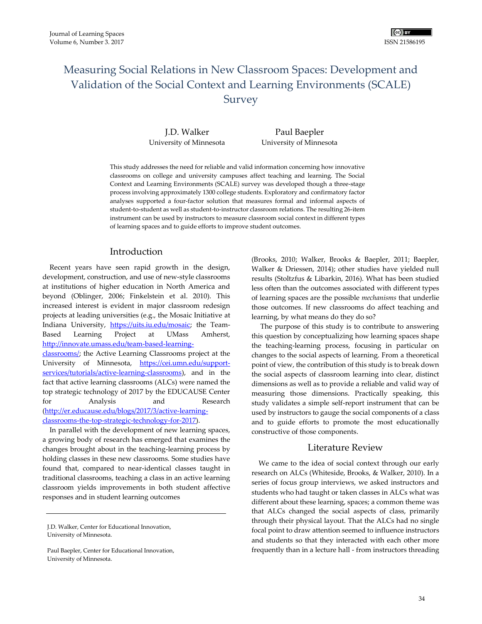## Measuring Social Relations in New Classroom Spaces: Development and Validation of the Social Context and Learning Environments (SCALE) Survey

J.D. Walker University of Minnesota

Paul Baepler University of Minnesota

This study addresses the need for reliable and valid information concerning how innovative classrooms on college and university campuses affect teaching and learning. The Social Context and Learning Environments (SCALE) survey was developed though a three-stage process involving approximately 1300 college students. Exploratory and confirmatory factor analyses supported a four-factor solution that measures formal and informal aspects of student-to-student as well as student-to-instructor classroom relations. The resulting 26-item instrument can be used by instructors to measure classroom social context in different types of learning spaces and to guide efforts to improve student outcomes.

#### Introduction

Recent years have seen rapid growth in the design, development, construction, and use of new-style classrooms at institutions of higher education in North America and beyond (Oblinger, 2006; Finkelstein et al. 2010). This increased interest is evident in major classroom redesign projects at leading universities (e.g., the Mosaic Initiative at Indiana University, [https://uits.iu.edu/mosaic;](https://uits.iu.edu/mosaic) the Team-Based Learning Project at UMass Amherst, [http://innovate.umass.edu/team-based-learning](http://innovate.umass.edu/team-based-learning-classrooms/)[classrooms/;](http://innovate.umass.edu/team-based-learning-classrooms/) the Active Learning Classrooms project at the University of Minnesota, [https://cei.umn.edu/support](https://cei.umn.edu/support-services/tutorials/active-learning-classrooms)[services/tutorials/active-learning-classrooms\)](https://cei.umn.edu/support-services/tutorials/active-learning-classrooms), and in the fact that active learning classrooms (ALCs) were named the top strategic technology of 2017 by the EDUCAUSE Center for Analysis and Research [\(http://er.educause.edu/blogs/2017/3/active-learning-](http://er.educause.edu/blogs/2017/3/active-learning-classrooms-the-top-strategic-technology-for-2017)

[classrooms-the-top-strategic-technology-for-2017\)](http://er.educause.edu/blogs/2017/3/active-learning-classrooms-the-top-strategic-technology-for-2017).

In parallel with the development of new learning spaces, a growing body of research has emerged that examines the changes brought about in the teaching-learning process by holding classes in these new classrooms. Some studies have found that, compared to near-identical classes taught in traditional classrooms, teaching a class in an active learning classroom yields improvements in both student affective responses and in student learning outcomes

(Brooks, 2010; Walker, Brooks & Baepler, 2011; Baepler, Walker & Driessen, 2014); other studies have yielded null results (Stoltzfus & Libarkin, 2016). What has been studied less often than the outcomes associated with different types of learning spaces are the possible *mechanisms* that underlie those outcomes. If new classrooms do affect teaching and learning, by what means do they do so?

 The purpose of this study is to contribute to answering this question by conceptualizing how learning spaces shape the teaching-learning process, focusing in particular on changes to the social aspects of learning. From a theoretical point of view, the contribution of this study is to break down the social aspects of classroom learning into clear, distinct dimensions as well as to provide a reliable and valid way of measuring those dimensions. Practically speaking, this study validates a simple self-report instrument that can be used by instructors to gauge the social components of a class and to guide efforts to promote the most educationally constructive of those components.

## Literature Review

We came to the idea of social context through our early research on ALCs (Whiteside, Brooks, & Walker, 2010). In a series of focus group interviews, we asked instructors and students who had taught or taken classes in ALCs what was different about these learning, spaces; a common theme was that ALCs changed the social aspects of class, primarily through their physical layout. That the ALCs had no single focal point to draw attention seemed to influence instructors and students so that they interacted with each other more frequently than in a lecture hall - from instructors threading

J.D. Walker, Center for Educational Innovation, University of Minnesota.

Paul Baepler, Center for Educational Innovation, University of Minnesota.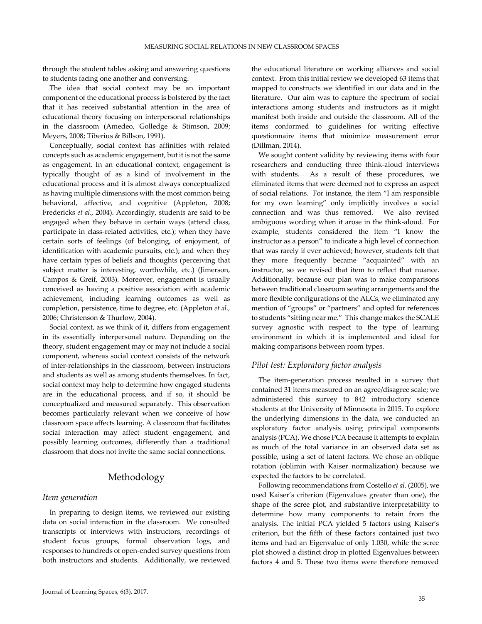through the student tables asking and answering questions to students facing one another and conversing.

The idea that social context may be an important component of the educational process is bolstered by the fact that it has received substantial attention in the area of educational theory focusing on interpersonal relationships in the classroom (Amedeo, Golledge & Stimson, 2009; Meyers, 2008; Tiberius & Billson, 1991).

Conceptually, social context has affinities with related concepts such as academic engagement, but it is not the same as engagement. In an educational context, engagement is typically thought of as a kind of involvement in the educational process and it is almost always conceptualized as having multiple dimensions with the most common being behavioral, affective, and cognitive (Appleton, 2008; Fredericks *et al*., 2004). Accordingly, students are said to be engaged when they behave in certain ways (attend class, participate in class-related activities, etc.); when they have certain sorts of feelings (of belonging, of enjoyment, of identification with academic pursuits, etc.); and when they have certain types of beliefs and thoughts (perceiving that subject matter is interesting, worthwhile, etc.) (Jimerson, Campos & Greif, 2003). Moreover, engagement is usually conceived as having a positive association with academic achievement, including learning outcomes as well as completion, persistence, time to degree, etc. (Appleton *et al.,*  2006; Christenson & Thurlow, 2004).

Social context, as we think of it, differs from engagement in its essentially interpersonal nature. Depending on the theory, student engagement may or may not include a social component, whereas social context consists of the network of inter-relationships in the classroom, between instructors and students as well as among students themselves. In fact, social context may help to determine how engaged students are in the educational process, and if so, it should be conceptualized and measured separately. This observation becomes particularly relevant when we conceive of how classroom space affects learning. A classroom that facilitates social interaction may affect student engagement, and possibly learning outcomes, differently than a traditional classroom that does not invite the same social connections.

### Methodology

#### *Item generation*

In preparing to design items, we reviewed our existing data on social interaction in the classroom. We consulted transcripts of interviews with instructors, recordings of student focus groups, formal observation logs, and responses to hundreds of open-ended survey questions from both instructors and students. Additionally, we reviewed

the educational literature on working alliances and social context. From this initial review we developed 63 items that mapped to constructs we identified in our data and in the literature. Our aim was to capture the spectrum of social interactions among students and instructors as it might manifest both inside and outside the classroom. All of the items conformed to guidelines for writing effective questionnaire items that minimize measurement error (Dillman, 2014).

We sought content validity by reviewing items with four researchers and conducting three think-aloud interviews with students. As a result of these procedures, we eliminated items that were deemed not to express an aspect of social relations. For instance, the item "I am responsible for my own learning" only implicitly involves a social connection and was thus removed. We also revised ambiguous wording when it arose in the think-aloud. For example, students considered the item "I know the instructor as a person" to indicate a high level of connection that was rarely if ever achieved; however, students felt that they more frequently became "acquainted" with an instructor, so we revised that item to reflect that nuance. Additionally, because our plan was to make comparisons between traditional classroom seating arrangements and the more flexible configurations of the ALCs, we eliminated any mention of "groups" or "partners" and opted for references to students "sitting near me." This change makes the SCALE survey agnostic with respect to the type of learning environment in which it is implemented and ideal for making comparisons between room types.

#### *Pilot test: Exploratory factor analysis*

The item-generation process resulted in a survey that contained 31 items measured on an agree/disagree scale; we administered this survey to 842 introductory science students at the University of Minnesota in 2015. To explore the underlying dimensions in the data, we conducted an exploratory factor analysis using principal components analysis (PCA). We chose PCA because it attempts to explain as much of the total variance in an observed data set as possible, using a set of latent factors. We chose an oblique rotation (oblimin with Kaiser normalization) because we expected the factors to be correlated.

Following recommendations from Costello *et al*. (2005), we used Kaiser's criterion (Eigenvalues greater than one), the shape of the scree plot, and substantive interpretability to determine how many components to retain from the analysis. The initial PCA yielded 5 factors using Kaiser's criterion, but the fifth of these factors contained just two items and had an Eigenvalue of only 1.030, while the scree plot showed a distinct drop in plotted Eigenvalues between factors 4 and 5. These two items were therefore removed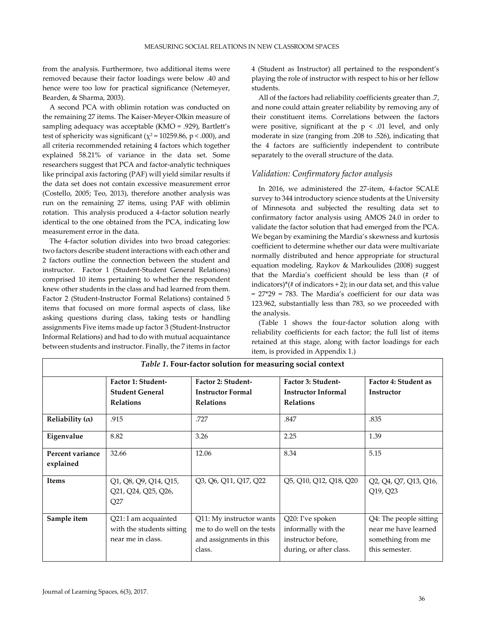from the analysis. Furthermore, two additional items were removed because their factor loadings were below .40 and hence were too low for practical significance (Netemeyer, Bearden, & Sharma, 2003).

A second PCA with oblimin rotation was conducted on the remaining 27 items. The Kaiser-Meyer-Olkin measure of sampling adequacy was acceptable (KMO = .929), Bartlett's test of sphericity was significant ( $\chi^2$  = 10259.86, p < .000), and all criteria recommended retaining 4 factors which together explained 58.21% of variance in the data set. Some researchers suggest that PCA and factor-analytic techniques like principal axis factoring (PAF) will yield similar results if the data set does not contain excessive measurement error (Costello, 2005; Teo, 2013), therefore another analysis was run on the remaining 27 items, using PAF with oblimin rotation. This analysis produced a 4-factor solution nearly identical to the one obtained from the PCA, indicating low measurement error in the data.

The 4-factor solution divides into two broad categories: two factors describe student interactions with each other and 2 factors outline the connection between the student and instructor. Factor 1 (Student-Student General Relations) comprised 10 items pertaining to whether the respondent knew other students in the class and had learned from them. Factor 2 (Student-Instructor Formal Relations) contained 5 items that focused on more formal aspects of class, like asking questions during class, taking tests or handling assignments Five items made up factor 3 (Student-Instructor Informal Relations) and had to do with mutual acquaintance between students and instructor. Finally, the 7 items in factor

4 (Student as Instructor) all pertained to the respondent's playing the role of instructor with respect to his or her fellow students.

All of the factors had reliability coefficients greater than .7, and none could attain greater reliability by removing any of their constituent items. Correlations between the factors were positive, significant at the  $p < .01$  level, and only moderate in size (ranging from .208 to .526), indicating that the 4 factors are sufficiently independent to contribute separately to the overall structure of the data.

## *Validation: Confirmatory factor analysis*

In 2016, we administered the 27-item, 4-factor SCALE survey to 344 introductory science students at the University of Minnesota and subjected the resulting data set to confirmatory factor analysis using AMOS 24.0 in order to validate the factor solution that had emerged from the PCA. We began by examining the Mardia's skewness and kurtosis coefficient to determine whether our data were multivariate normally distributed and hence appropriate for structural equation modeling. Raykov & Markoulides (2008) suggest that the Mardia's coefficient should be less than (# of indicators)\*(# of indicators + 2); in our data set, and this value = 27\*29 = 783. The Mardia's coefficient for our data was 123.962, substantially less than 783, so we proceeded with the analysis.

(Table 1 shows the four-factor solution along with reliability coefficients for each factor; the full list of items retained at this stage, along with factor loadings for each item, is provided in Appendix 1.)

| <i>Table 1.</i> Four-factor solution for measuring social context |                                                                        |                                                                                             |                                                                                          |                                                                                       |  |  |
|-------------------------------------------------------------------|------------------------------------------------------------------------|---------------------------------------------------------------------------------------------|------------------------------------------------------------------------------------------|---------------------------------------------------------------------------------------|--|--|
|                                                                   | Factor 1: Student-<br><b>Student General</b><br><b>Relations</b>       | Factor 2: Student-<br><b>Instructor Formal</b><br><b>Relations</b>                          | Factor 3: Student-<br><b>Instructor Informal</b><br><b>Relations</b>                     | Factor 4: Student as<br>Instructor                                                    |  |  |
| Reliability $(\alpha)$                                            | .915                                                                   | .727                                                                                        | .847                                                                                     | .835                                                                                  |  |  |
| Eigenvalue                                                        | 8.82                                                                   | 3.26                                                                                        | 2.25                                                                                     | 1.39                                                                                  |  |  |
| Percent variance<br>explained                                     | 32.66                                                                  | 12.06                                                                                       | 8.34                                                                                     | 5.15                                                                                  |  |  |
| Items                                                             | Q1, Q8, Q9, Q14, Q15,<br>Q21, Q24, Q25, Q26,<br>Q27                    | Q3, Q6, Q11, Q17, Q22                                                                       | Q5, Q10, Q12, Q18, Q20                                                                   | Q2, Q4, Q7, Q13, Q16,<br>Q19, Q23                                                     |  |  |
| Sample item                                                       | Q21: I am acquainted<br>with the students sitting<br>near me in class. | Q11: My instructor wants<br>me to do well on the tests<br>and assignments in this<br>class. | Q20: I've spoken<br>informally with the<br>instructor before.<br>during, or after class. | Q4: The people sitting<br>near me have learned<br>something from me<br>this semester. |  |  |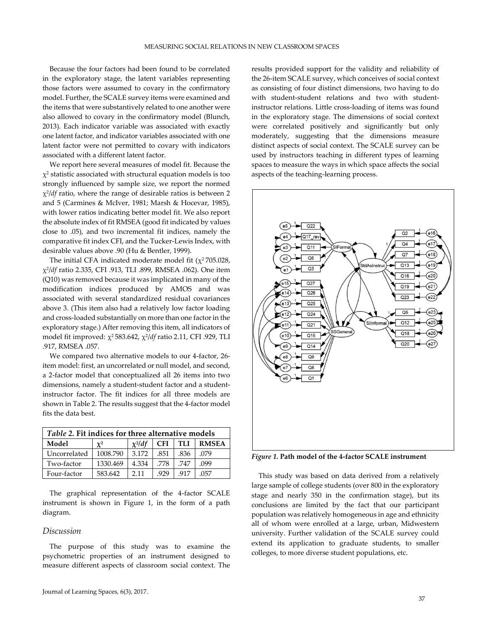Because the four factors had been found to be correlated in the exploratory stage, the latent variables representing those factors were assumed to covary in the confirmatory model. Further, the SCALE survey items were examined and the items that were substantively related to one another were also allowed to covary in the confirmatory model (Blunch, 2013). Each indicator variable was associated with exactly one latent factor, and indicator variables associated with one latent factor were not permitted to covary with indicators associated with a different latent factor.

We report here several measures of model fit. Because the  $\chi^2$  statistic associated with structural equation models is too strongly influenced by sample size, we report the normed χ2 /*df* ratio, where the range of desirable ratios is between 2 and 5 (Carmines & McIver, 1981; Marsh & Hocevar, 1985), with lower ratios indicating better model fit. We also report the absolute index of fit RMSEA (good fit indicated by values close to .05), and two incremental fit indices, namely the comparative fit index CFI, and the Tucker-Lewis Index, with desirable values above .90 (Hu & Bentler, 1999).

The initial CFA indicated moderate model fit  $(\chi^2 705.028,$ χ2 /*df* ratio 2.335, CFI .913, TLI .899, RMSEA .062). One item (Q10) was removed because it was implicated in many of the modification indices produced by AMOS and was associated with several standardized residual covariances above 3. (This item also had a relatively low factor loading and cross-loaded substantially on more than one factor in the exploratory stage.) After removing this item, all indicators of model fit improved: χ<sup>2</sup>583.642, χ<sup>2</sup> /*df* ratio 2.11, CFI .929, TLI .917, RMSEA .057.

We compared two alternative models to our 4-factor, 26 item model: first, an uncorrelated or null model, and second, a 2-factor model that conceptualized all 26 items into two dimensions, namely a student-student factor and a studentinstructor factor. The fit indices for all three models are shown in Table 2. The results suggest that the 4-factor model fits the data best.

| <i>Table 2.</i> Fit indices for three alternative models |          |          |            |      |              |  |  |
|----------------------------------------------------------|----------|----------|------------|------|--------------|--|--|
| Model                                                    | $\chi^2$ | $x^2/df$ | <b>CFI</b> | TLI  | <b>RMSEA</b> |  |  |
| Uncorrelated                                             | 1008.790 | 3.172    | .851       | .836 | .079         |  |  |
| Two-factor                                               | 1330.469 | 4.334    | .778       | .747 | .099         |  |  |
| Four-factor                                              | 583.642  | 2 1 1    | 929        | .917 | 057          |  |  |

The graphical representation of the 4-factor SCALE instrument is shown in Figure 1, in the form of a path diagram.

#### *Discussion*

The purpose of this study was to examine the psychometric properties of an instrument designed to measure different aspects of classroom social context. The

results provided support for the validity and reliability of the 26-item SCALE survey, which conceives of social context as consisting of four distinct dimensions, two having to do with student-student relations and two with studentinstructor relations. Little cross-loading of items was found in the exploratory stage. The dimensions of social context were correlated positively and significantly but only moderately, suggesting that the dimensions measure distinct aspects of social context. The SCALE survey can be used by instructors teaching in different types of learning spaces to measure the ways in which space affects the social aspects of the teaching-learning process.



*Figure 1.* **Path model of the 4-factor SCALE instrument** 

This study was based on data derived from a relatively large sample of college students (over 800 in the exploratory stage and nearly 350 in the confirmation stage), but its conclusions are limited by the fact that our participant population was relatively homogeneous in age and ethnicity all of whom were enrolled at a large, urban, Midwestern university. Further validation of the SCALE survey could extend its application to graduate students, to smaller colleges, to more diverse student populations, etc.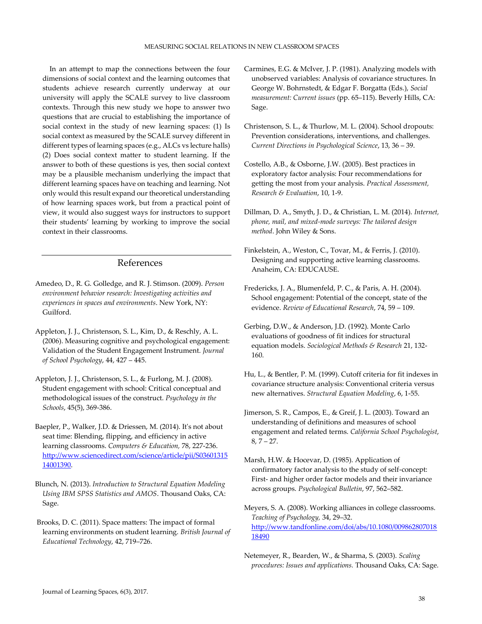In an attempt to map the connections between the four dimensions of social context and the learning outcomes that students achieve research currently underway at our university will apply the SCALE survey to live classroom contexts. Through this new study we hope to answer two questions that are crucial to establishing the importance of social context in the study of new learning spaces: (1) Is social context as measured by the SCALE survey different in different types of learning spaces (e.g., ALCs vs lecture halls) (2) Does social context matter to student learning. If the answer to both of these questions is yes, then social context may be a plausible mechanism underlying the impact that different learning spaces have on teaching and learning. Not only would this result expand our theoretical understanding of how learning spaces work, but from a practical point of view, it would also suggest ways for instructors to support their students' learning by working to improve the social context in their classrooms.

## References

- Amedeo, D., R. G. Golledge, and R. J. Stimson. (2009). *Person environment behavior research: Investigating activities and experiences in spaces and environments*. New York, NY: Guilford.
- Appleton, J. J., Christenson, S. L., Kim, D., & Reschly, A. L. (2006). Measuring cognitive and psychological engagement: Validation of the Student Engagement Instrument. *Journal of School Psychology*, 44, 427 – 445.
- Appleton, J. J., Christenson, S. L., & Furlong, M. J. (2008). Student engagement with school: Critical conceptual and methodological issues of the construct. *Psychology in the Schools*, 45(5), 369-386.
- Baepler, P., Walker, J.D. & Driessen, M. (2014). It's not about seat time: Blending, flipping, and efficiency in active learning classrooms. *Computers & Education,* 78, 227-236. [http://www.sciencedirect.com/science/article/pii/S03601315](http://www.sciencedirect.com/science/article/pii/S0360131514001390) [14001390.](http://www.sciencedirect.com/science/article/pii/S0360131514001390)
- Blunch, N. (2013). *Introduction to Structural Equation Modeling Using IBM SPSS Statistics and AMOS*. Thousand Oaks, CA: Sage.
- Brooks, D. C. (2011). Space matters: The impact of formal learning environments on student learning. *British Journal of Educational Technology*, 42, 719–726.
- Carmines, E.G. & McIver, J. P. (1981). Analyzing models with unobserved variables: Analysis of covariance structures. In George W. Bohrnstedt, & Edgar F. Borgatta (Eds.), *Social measurement: Current issues* (pp. 65–115). Beverly Hills, CA: Sage.
- Christenson, S. L., & Thurlow, M. L. (2004). School dropouts: Prevention considerations, interventions, and challenges. *Current Directions in Psychological Science*, 13, 36 – 39.
- Costello, A.B., & Osborne, J.W. (2005). Best practices in exploratory factor analysis: Four recommendations for getting the most from your analysis. *Practical Assessment, Research & Evaluation*, 10, 1-9.
- Dillman, D. A., Smyth, J. D., & Christian, L. M. (2014). *Internet, phone, mail, and mixed-mode surveys: The tailored design method*. John Wiley & Sons.
- Finkelstein, A., Weston, C., Tovar, M., & Ferris, J. (2010). Designing and supporting active learning classrooms. Anaheim, CA: EDUCAUSE.
- Fredericks, J. A., Blumenfeld, P. C., & Paris, A. H. (2004). School engagement: Potential of the concept, state of the evidence. *Review of Educational Research*, 74, 59 – 109.
- Gerbing, D.W., & Anderson, J.D. (1992). Monte Carlo evaluations of goodness of fit indices for structural equation models. *Sociological Methods & Research* 21, 132- 160.
- Hu, L., & Bentler, P. M. (1999). Cutoff criteria for fit indexes in covariance structure analysis: Conventional criteria versus new alternatives. *Structural Equation Modeling*, 6, 1-55.
- Jimerson, S. R., Campos, E., & Greif, J. L. (2003). Toward an understanding of definitions and measures of school engagement and related terms. *California School Psychologist*,  $8, 7 - 27.$
- Marsh, H.W. & Hocevar, D. (1985). Application of confirmatory factor analysis to the study of self-concept: First- and higher order factor models and their invariance across groups. *Psychological Bulletin*, 97, 562–582.

Meyers, S. A. (2008). Working alliances in college classrooms. *Teaching of Psychology,* 34, 29–32. [http://www.tandfonline.com/doi/abs/10.1080/009862807018](http://www.tandfonline.com/doi/abs/10.1080/00986280701818490) [18490](http://www.tandfonline.com/doi/abs/10.1080/00986280701818490)

Netemeyer, R., Bearden, W., & Sharma, S. (2003). *Scaling procedures: Issues and applications.* Thousand Oaks, CA: Sage.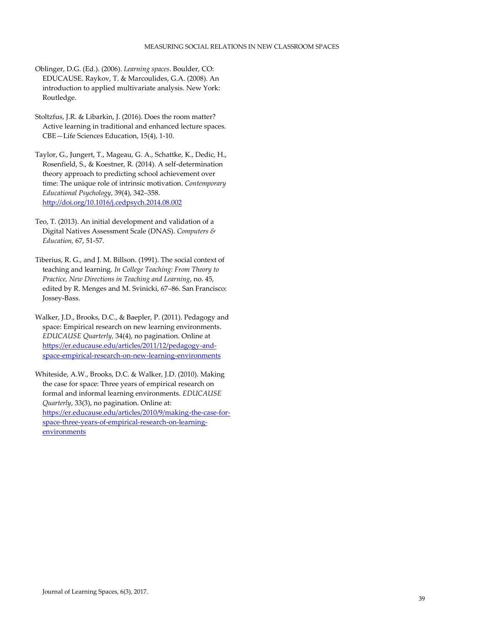- Oblinger, D.G. (Ed.). (2006). *Learning spaces*. Boulder, CO: EDUCAUSE. Raykov, T. & Marcoulides, G.A. (2008). An introduction to applied multivariate analysis. New York: Routledge.
- Stoltzfus, J.R. & Libarkin, J. (2016). Does the room matter? Active learning in traditional and enhanced lecture spaces. CBE—Life Sciences Education, 15(4), 1-10.
- Taylor, G., Jungert, T., Mageau, G. A., Schattke, K., Dedic, H., Rosenfield, S., & Koestner, R. (2014). A self-determination theory approach to predicting school achievement over time: The unique role of intrinsic motivation. *Contemporary Educational Psychology*, 39(4), 342–358. <http://doi.org/10.1016/j.cedpsych.2014.08.002>
- Teo, T. (2013). An initial development and validation of a Digital Natives Assessment Scale (DNAS). *Computers & Education,* 67, 51-57.
- Tiberius, R. G., and J. M. Billson. (1991). The social context of teaching and learning. *In College Teaching: From Theory to Practice, New Directions in Teaching and Learning*, no. 45, edited by R. Menges and M. Svinicki, 67–86. San Francisco: Jossey-Bass.
- Walker, J.D., Brooks, D.C., & Baepler, P. (2011). Pedagogy and space: Empirical research on new learning environments. *EDUCAUSE Quarterly,* 34(4), no pagination. Online at [https://er.educause.edu/articles/2011/12/pedagogy-and](https://er.educause.edu/articles/2011/12/pedagogy-and-space-empirical-research-on-new-learning-environments)[space-empirical-research-on-new-learning-environments](https://er.educause.edu/articles/2011/12/pedagogy-and-space-empirical-research-on-new-learning-environments)
- Whiteside, A.W., Brooks, D.C. & Walker, J.D. (2010). Making the case for space: Three years of empirical research on formal and informal learning environments. *EDUCAUSE Quarterly*, 33(3), no pagination. Online at: [https://er.educause.edu/articles/2010/9/making-the-case-for](https://er.educause.edu/articles/2010/9/making-the-case-for-space-three-years-of-empirical-research-on-learning-environments)[space-three-years-of-empirical-research-on-learning](https://er.educause.edu/articles/2010/9/making-the-case-for-space-three-years-of-empirical-research-on-learning-environments)[environments](https://er.educause.edu/articles/2010/9/making-the-case-for-space-three-years-of-empirical-research-on-learning-environments)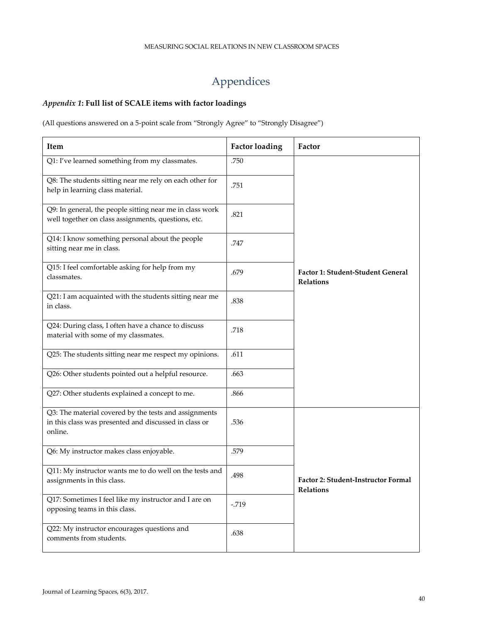#### MEASURING SOCIAL RELATIONS IN NEW CLASSROOM SPACES

# Appendices

## *Appendix 1***: Full list of SCALE items with factor loadings**

(All questions answered on a 5-point scale from "Strongly Agree" to "Strongly Disagree")

| Item                                                                                                                      | <b>Factor loading</b> | Factor                                                  |
|---------------------------------------------------------------------------------------------------------------------------|-----------------------|---------------------------------------------------------|
| Q1: I've learned something from my classmates.                                                                            | .750                  |                                                         |
| Q8: The students sitting near me rely on each other for<br>help in learning class material.                               | .751                  |                                                         |
| Q9: In general, the people sitting near me in class work<br>well together on class assignments, questions, etc.           | .821                  |                                                         |
| Q14: I know something personal about the people<br>sitting near me in class.                                              | .747                  | Factor 1: Student-Student General<br><b>Relations</b>   |
| Q15: I feel comfortable asking for help from my<br>classmates.                                                            | .679                  |                                                         |
| Q21: I am acquainted with the students sitting near me<br>in class.                                                       | .838                  |                                                         |
| Q24: During class, I often have a chance to discuss<br>material with some of my classmates.                               | .718                  |                                                         |
| Q25: The students sitting near me respect my opinions.                                                                    | .611                  |                                                         |
| Q26: Other students pointed out a helpful resource.                                                                       | .663                  |                                                         |
| Q27: Other students explained a concept to me.                                                                            | .866                  |                                                         |
| Q3: The material covered by the tests and assignments<br>in this class was presented and discussed in class or<br>online. | .536                  |                                                         |
| Q6: My instructor makes class enjoyable.                                                                                  | .579                  |                                                         |
| Q11: My instructor wants me to do well on the tests and<br>assignments in this class.                                     | .498                  | Factor 2: Student-Instructor Formal<br><b>Relations</b> |
| Q17: Sometimes I feel like my instructor and I are on<br>opposing teams in this class.                                    | $-719$                |                                                         |
| Q22: My instructor encourages questions and<br>comments from students.                                                    | .638                  |                                                         |